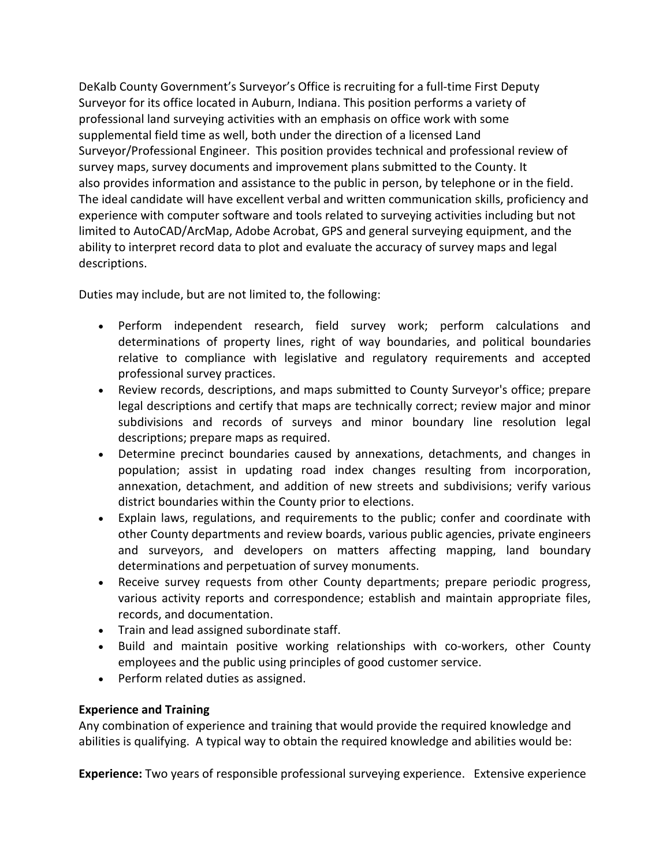DeKalb County Government's Surveyor's Office is recruiting for a full-time First Deputy Surveyor for its office located in Auburn, Indiana. This position performs a variety of professional land surveying activities with an emphasis on office work with some supplemental field time as well, both under the direction of a licensed Land Surveyor/Professional Engineer. This position provides technical and professional review of survey maps, survey documents and improvement plans submitted to the County. It also provides information and assistance to the public in person, by telephone or in the field. The ideal candidate will have excellent verbal and written communication skills, proficiency and experience with computer software and tools related to surveying activities including but not limited to AutoCAD/ArcMap, Adobe Acrobat, GPS and general surveying equipment, and the ability to interpret record data to plot and evaluate the accuracy of survey maps and legal descriptions.

Duties may include, but are not limited to, the following:

- Perform independent research, field survey work; perform calculations and determinations of property lines, right of way boundaries, and political boundaries relative to compliance with legislative and regulatory requirements and accepted professional survey practices.
- Review records, descriptions, and maps submitted to County Surveyor's office; prepare legal descriptions and certify that maps are technically correct; review major and minor subdivisions and records of surveys and minor boundary line resolution legal descriptions; prepare maps as required.
- Determine precinct boundaries caused by annexations, detachments, and changes in population; assist in updating road index changes resulting from incorporation, annexation, detachment, and addition of new streets and subdivisions; verify various district boundaries within the County prior to elections.
- Explain laws, regulations, and requirements to the public; confer and coordinate with other County departments and review boards, various public agencies, private engineers and surveyors, and developers on matters affecting mapping, land boundary determinations and perpetuation of survey monuments.
- Receive survey requests from other County departments; prepare periodic progress, various activity reports and correspondence; establish and maintain appropriate files, records, and documentation.
- Train and lead assigned subordinate staff.
- Build and maintain positive working relationships with co-workers, other County employees and the public using principles of good customer service.
- Perform related duties as assigned.

## **Experience and Training**

Any combination of experience and training that would provide the required knowledge and abilities is qualifying. A typical way to obtain the required knowledge and abilities would be:

**Experience:** Two years of responsible professional surveying experience. Extensive experience